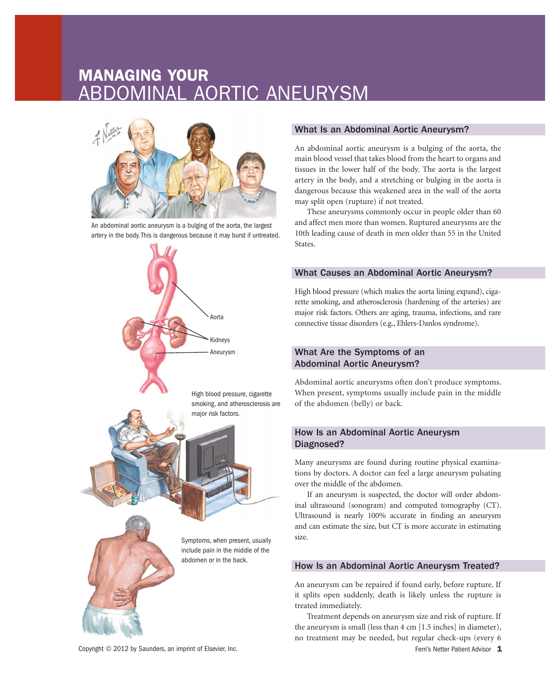# MANAGING YOUR ABDOMINAL AORTIC ANEURYSM



An abdominal aortic aneurysm is a bulging of the aorta, the largest artery in the body. This is dangerous because it may burst if untreated.



### What Is an Abdominal Aortic Aneurysm?

An abdominal aortic aneurysm is a bulging of the aorta, the main blood vessel that takes blood from the heart to organs and tissues in the lower half of the body. The aorta is the largest artery in the body, and a stretching or bulging in the aorta is dangerous because this weakened area in the wall of the aorta may split open (rupture) if not treated.

These aneurysms commonly occur in people older than 60 and affect men more than women. Ruptured aneurysms are the 10th leading cause of death in men older than 55 in the United States.

#### What Causes an Abdominal Aortic Aneurysm?

High blood pressure (which makes the aorta lining expand), cigarette smoking, and atherosclerosis (hardening of the arteries) are major risk factors. Others are aging, trauma, infections, and rare connective tissue disorders (e.g., Ehlers-Danlos syndrome).

## What Are the Symptoms of an Abdominal Aortic Aneurysm?

Abdominal aortic aneurysms often don't produce symptoms. When present, symptoms usually include pain in the middle of the abdomen (belly) or back.

### How Is an Abdominal Aortic Aneurysm Diagnosed?

Many aneurysms are found during routine physical examinations by doctors. A doctor can feel a large aneurysm pulsating over the middle of the abdomen.

If an aneurysm is suspected, the doctor will order abdominal ultrasound (sonogram) and computed tomography (CT). Ultrasound is nearly 100% accurate in finding an aneurysm and can estimate the size, but CT is more accurate in estimating size.

#### How Is an Abdominal Aortic Aneurysm Treated?

An aneurysm can be repaired if found early, before rupture. If it splits open suddenly, death is likely unless the rupture is treated immediately.

Treatment depends on aneurysm size and risk of rupture. If the aneurysm is small (less than 4 cm [1.5 inches] in diameter), no treatment may be needed, but regular check-ups (every 6

Copyright © 2012 by Saunders, an imprint of Elsevier, Inc. Ferri's Netter Patient Advisor 1